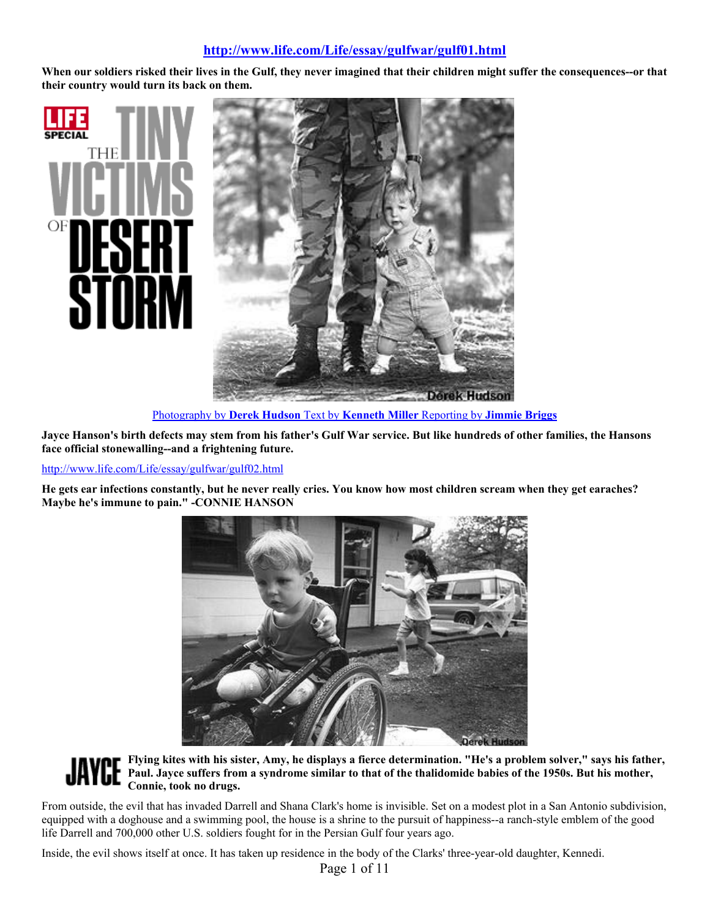# **http://www.life.com/Life/essay/gulfwar/gulf01.html**

**When our soldiers risked their lives in the Gulf, they never imagined that their children might suffer the consequences--or that their country would turn its back on them.**



Photography by **Derek Hudson** Text by **Kenneth Miller** Reporting by **Jimmie Briggs**

**Jayce Hanson's birth defects may stem from his father's Gulf War service. But like hundreds of other families, the Hansons face official stonewalling--and a frightening future.** 

http://www.life.com/Life/essay/gulfwar/gulf02.html

Oł

**He gets ear infections constantly, but he never really cries. You know how most children scream when they get earaches? Maybe he's immune to pain." -CONNIE HANSON**



**Flying kites with his sister, Amy, he displays a fierce determination. "He's a problem solver," says his father, Paul. Jayce suffers from a syndrome similar to that of the thalidomide babies of the 1950s. But his mother, Connie, took no drugs.**

From outside, the evil that has invaded Darrell and Shana Clark's home is invisible. Set on a modest plot in a San Antonio subdivision, equipped with a doghouse and a swimming pool, the house is a shrine to the pursuit of happiness--a ranch-style emblem of the good life Darrell and 700,000 other U.S. soldiers fought for in the Persian Gulf four years ago.

Inside, the evil shows itself at once. It has taken up residence in the body of the Clarks' three-year-old daughter, Kennedi.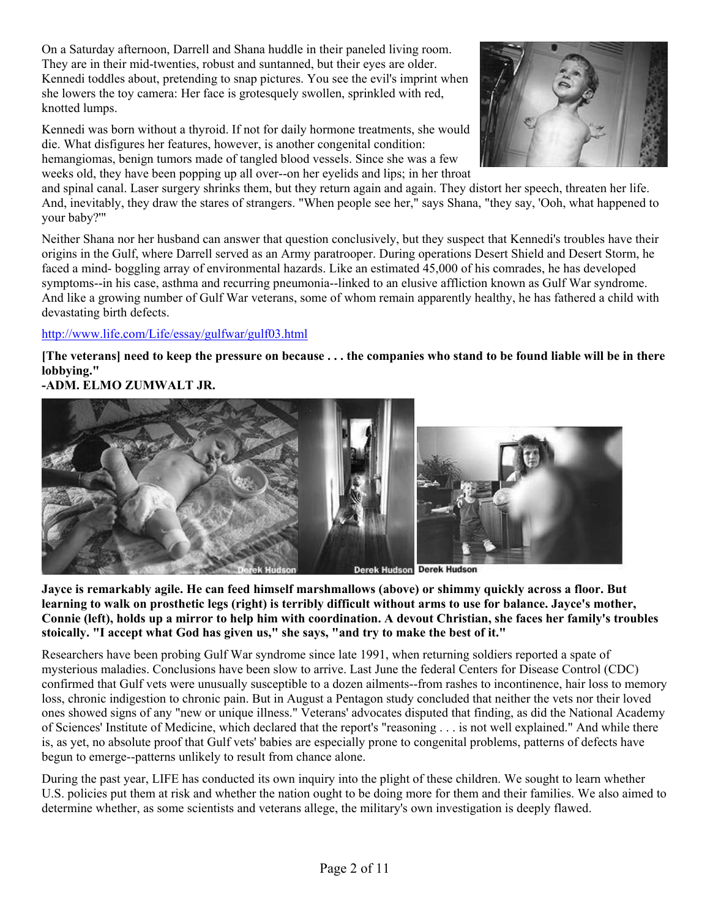On a Saturday afternoon, Darrell and Shana huddle in their paneled living room. They are in their mid-twenties, robust and suntanned, but their eyes are older. Kennedi toddles about, pretending to snap pictures. You see the evil's imprint when she lowers the toy camera: Her face is grotesquely swollen, sprinkled with red, knotted lumps.

Kennedi was born without a thyroid. If not for daily hormone treatments, she would die. What disfigures her features, however, is another congenital condition: hemangiomas, benign tumors made of tangled blood vessels. Since she was a few weeks old, they have been popping up all over--on her eyelids and lips; in her throat



and spinal canal. Laser surgery shrinks them, but they return again and again. They distort her speech, threaten her life. And, inevitably, they draw the stares of strangers. "When people see her," says Shana, "they say, 'Ooh, what happened to your baby?'"

Neither Shana nor her husband can answer that question conclusively, but they suspect that Kennedi's troubles have their origins in the Gulf, where Darrell served as an Army paratrooper. During operations Desert Shield and Desert Storm, he faced a mind- boggling array of environmental hazards. Like an estimated 45,000 of his comrades, he has developed symptoms--in his case, asthma and recurring pneumonia--linked to an elusive affliction known as Gulf War syndrome. And like a growing number of Gulf War veterans, some of whom remain apparently healthy, he has fathered a child with devastating birth defects.

## http://www.life.com/Life/essay/gulfwar/gulf03.html

**[The veterans] need to keep the pressure on because . . . the companies who stand to be found liable will be in there lobbying."** 

# **-ADM. ELMO ZUMWALT JR.**



**Jayce is remarkably agile. He can feed himself marshmallows (above) or shimmy quickly across a floor. But learning to walk on prosthetic legs (right) is terribly difficult without arms to use for balance. Jayce's mother, Connie (left), holds up a mirror to help him with coordination. A devout Christian, she faces her family's troubles stoically. "I accept what God has given us," she says, "and try to make the best of it."** 

Researchers have been probing Gulf War syndrome since late 1991, when returning soldiers reported a spate of mysterious maladies. Conclusions have been slow to arrive. Last June the federal Centers for Disease Control (CDC) confirmed that Gulf vets were unusually susceptible to a dozen ailments--from rashes to incontinence, hair loss to memory loss, chronic indigestion to chronic pain. But in August a Pentagon study concluded that neither the vets nor their loved ones showed signs of any "new or unique illness." Veterans' advocates disputed that finding, as did the National Academy of Sciences' Institute of Medicine, which declared that the report's "reasoning . . . is not well explained." And while there is, as yet, no absolute proof that Gulf vets' babies are especially prone to congenital problems, patterns of defects have begun to emerge--patterns unlikely to result from chance alone.

During the past year, LIFE has conducted its own inquiry into the plight of these children. We sought to learn whether U.S. policies put them at risk and whether the nation ought to be doing more for them and their families. We also aimed to determine whether, as some scientists and veterans allege, the military's own investigation is deeply flawed.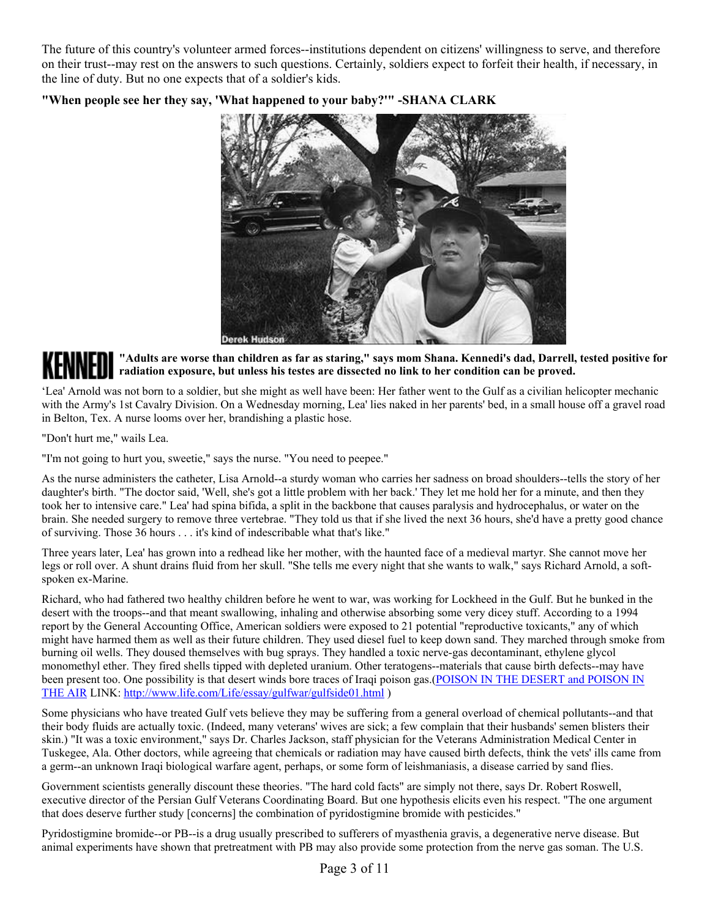The future of this country's volunteer armed forces--institutions dependent on citizens' willingness to serve, and therefore on their trust--may rest on the answers to such questions. Certainly, soldiers expect to forfeit their health, if necessary, in the line of duty. But no one expects that of a soldier's kids.



#### **"When people see her they say, 'What happened to your baby?'" -SHANA CLARK**

**"Adults are worse than children as far as staring," says mom Shana. Kennedi's dad, Darrell, tested positive for radiation exposure, but unless his testes are dissected no link to her condition can be proved.**

'Lea' Arnold was not born to a soldier, but she might as well have been: Her father went to the Gulf as a civilian helicopter mechanic with the Army's 1st Cavalry Division. On a Wednesday morning, Lea' lies naked in her parents' bed, in a small house off a gravel road in Belton, Tex. A nurse looms over her, brandishing a plastic hose.

"Don't hurt me," wails Lea.

"I'm not going to hurt you, sweetie," says the nurse. "You need to peepee."

As the nurse administers the catheter, Lisa Arnold--a sturdy woman who carries her sadness on broad shoulders--tells the story of her daughter's birth. "The doctor said, 'Well, she's got a little problem with her back.' They let me hold her for a minute, and then they took her to intensive care." Lea' had spina bifida, a split in the backbone that causes paralysis and hydrocephalus, or water on the brain. She needed surgery to remove three vertebrae. "They told us that if she lived the next 36 hours, she'd have a pretty good chance of surviving. Those 36 hours . . . it's kind of indescribable what that's like."

Three years later, Lea' has grown into a redhead like her mother, with the haunted face of a medieval martyr. She cannot move her legs or roll over. A shunt drains fluid from her skull. "She tells me every night that she wants to walk," says Richard Arnold, a softspoken ex-Marine.

Richard, who had fathered two healthy children before he went to war, was working for Lockheed in the Gulf. But he bunked in the desert with the troops--and that meant swallowing, inhaling and otherwise absorbing some very dicey stuff. According to a 1994 report by the General Accounting Office, American soldiers were exposed to 21 potential "reproductive toxicants," any of which might have harmed them as well as their future children. They used diesel fuel to keep down sand. They marched through smoke from burning oil wells. They doused themselves with bug sprays. They handled a toxic nerve-gas decontaminant, ethylene glycol monomethyl ether. They fired shells tipped with depleted uranium. Other teratogens--materials that cause birth defects--may have been present too. One possibility is that desert winds bore traces of Iraqi poison gas.(POISON IN THE DESERT and POISON IN THE AIR LINK: http://www.life.com/Life/essay/gulfwar/gulfside01.html )

Some physicians who have treated Gulf vets believe they may be suffering from a general overload of chemical pollutants--and that their body fluids are actually toxic. (Indeed, many veterans' wives are sick; a few complain that their husbands' semen blisters their skin.) "It was a toxic environment," says Dr. Charles Jackson, staff physician for the Veterans Administration Medical Center in Tuskegee, Ala. Other doctors, while agreeing that chemicals or radiation may have caused birth defects, think the vets' ills came from a germ--an unknown Iraqi biological warfare agent, perhaps, or some form of leishmaniasis, a disease carried by sand flies.

Government scientists generally discount these theories. "The hard cold facts" are simply not there, says Dr. Robert Roswell, executive director of the Persian Gulf Veterans Coordinating Board. But one hypothesis elicits even his respect. "The one argument that does deserve further study [concerns] the combination of pyridostigmine bromide with pesticides."

Pyridostigmine bromide--or PB--is a drug usually prescribed to sufferers of myasthenia gravis, a degenerative nerve disease. But animal experiments have shown that pretreatment with PB may also provide some protection from the nerve gas soman. The U.S.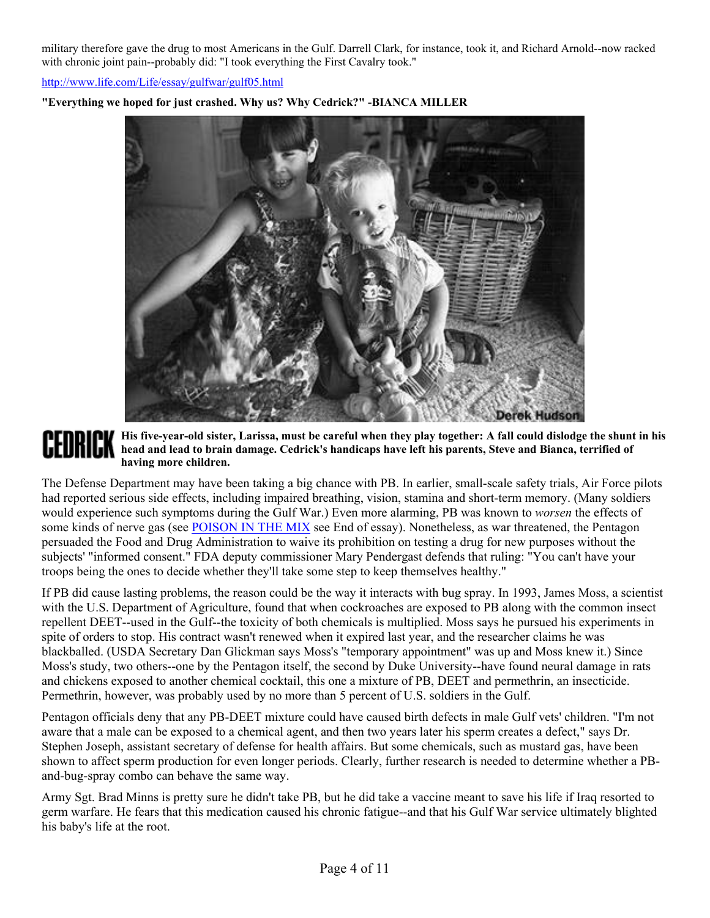military therefore gave the drug to most Americans in the Gulf. Darrell Clark, for instance, took it, and Richard Arnold--now racked with chronic joint pain--probably did: "I took everything the First Cavalry took."

http://www.life.com/Life/essay/gulfwar/gulf05.html



**"Everything we hoped for just crashed. Why us? Why Cedrick?" -BIANCA MILLER**

## **His five-year-old sister, Larissa, must be careful when they play together: A fall could dislodge the shunt in his head and lead to brain damage. Cedrick's handicaps have left his parents, Steve and Bianca, terrified of having more children.**

The Defense Department may have been taking a big chance with PB. In earlier, small-scale safety trials, Air Force pilots had reported serious side effects, including impaired breathing, vision, stamina and short-term memory. (Many soldiers would experience such symptoms during the Gulf War.) Even more alarming, PB was known to *worsen* the effects of some kinds of nerve gas (see POISON IN THE MIX see End of essay). Nonetheless, as war threatened, the Pentagon persuaded the Food and Drug Administration to waive its prohibition on testing a drug for new purposes without the subjects' "informed consent." FDA deputy commissioner Mary Pendergast defends that ruling: "You can't have your troops being the ones to decide whether they'll take some step to keep themselves healthy."

If PB did cause lasting problems, the reason could be the way it interacts with bug spray. In 1993, James Moss, a scientist with the U.S. Department of Agriculture, found that when cockroaches are exposed to PB along with the common insect repellent DEET--used in the Gulf--the toxicity of both chemicals is multiplied. Moss says he pursued his experiments in spite of orders to stop. His contract wasn't renewed when it expired last year, and the researcher claims he was blackballed. (USDA Secretary Dan Glickman says Moss's "temporary appointment" was up and Moss knew it.) Since Moss's study, two others--one by the Pentagon itself, the second by Duke University--have found neural damage in rats and chickens exposed to another chemical cocktail, this one a mixture of PB, DEET and permethrin, an insecticide. Permethrin, however, was probably used by no more than 5 percent of U.S. soldiers in the Gulf.

Pentagon officials deny that any PB-DEET mixture could have caused birth defects in male Gulf vets' children. "I'm not aware that a male can be exposed to a chemical agent, and then two years later his sperm creates a defect," says Dr. Stephen Joseph, assistant secretary of defense for health affairs. But some chemicals, such as mustard gas, have been shown to affect sperm production for even longer periods. Clearly, further research is needed to determine whether a PBand-bug-spray combo can behave the same way.

Army Sgt. Brad Minns is pretty sure he didn't take PB, but he did take a vaccine meant to save his life if Iraq resorted to germ warfare. He fears that this medication caused his chronic fatigue--and that his Gulf War service ultimately blighted his baby's life at the root.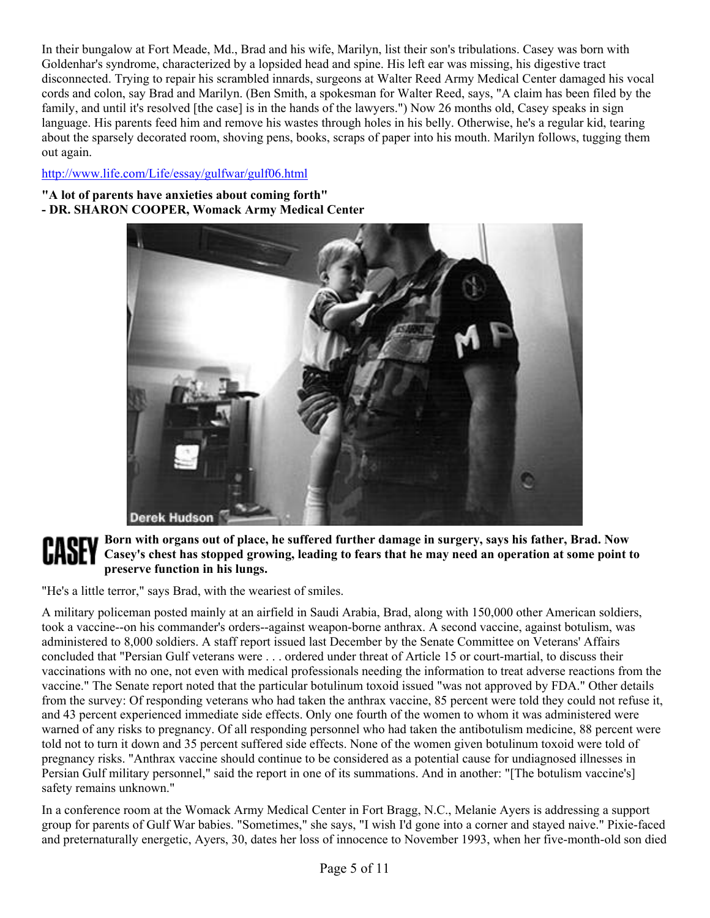In their bungalow at Fort Meade, Md., Brad and his wife, Marilyn, list their son's tribulations. Casey was born with Goldenhar's syndrome, characterized by a lopsided head and spine. His left ear was missing, his digestive tract disconnected. Trying to repair his scrambled innards, surgeons at Walter Reed Army Medical Center damaged his vocal cords and colon, say Brad and Marilyn. (Ben Smith, a spokesman for Walter Reed, says, "A claim has been filed by the family, and until it's resolved [the case] is in the hands of the lawyers.") Now 26 months old, Casey speaks in sign language. His parents feed him and remove his wastes through holes in his belly. Otherwise, he's a regular kid, tearing about the sparsely decorated room, shoving pens, books, scraps of paper into his mouth. Marilyn follows, tugging them out again.

# http://www.life.com/Life/essay/gulfwar/gulf06.html

#### **"A lot of parents have anxieties about coming forth" - DR. SHARON COOPER, Womack Army Medical Center**



# **Born with organs out of place, he suffered further damage in surgery, says his father, Brad. Now Casey's chest has stopped growing, leading to fears that he may need an operation at some point to preserve function in his lungs.**

"He's a little terror," says Brad, with the weariest of smiles.

A military policeman posted mainly at an airfield in Saudi Arabia, Brad, along with 150,000 other American soldiers, took a vaccine--on his commander's orders--against weapon-borne anthrax. A second vaccine, against botulism, was administered to 8,000 soldiers. A staff report issued last December by the Senate Committee on Veterans' Affairs concluded that "Persian Gulf veterans were . . . ordered under threat of Article 15 or court-martial, to discuss their vaccinations with no one, not even with medical professionals needing the information to treat adverse reactions from the vaccine." The Senate report noted that the particular botulinum toxoid issued "was not approved by FDA." Other details from the survey: Of responding veterans who had taken the anthrax vaccine, 85 percent were told they could not refuse it, and 43 percent experienced immediate side effects. Only one fourth of the women to whom it was administered were warned of any risks to pregnancy. Of all responding personnel who had taken the antibotulism medicine, 88 percent were told not to turn it down and 35 percent suffered side effects. None of the women given botulinum toxoid were told of pregnancy risks. "Anthrax vaccine should continue to be considered as a potential cause for undiagnosed illnesses in Persian Gulf military personnel," said the report in one of its summations. And in another: "[The botulism vaccine's] safety remains unknown."

In a conference room at the Womack Army Medical Center in Fort Bragg, N.C., Melanie Ayers is addressing a support group for parents of Gulf War babies. "Sometimes," she says, "I wish I'd gone into a corner and stayed naive." Pixie-faced and preternaturally energetic, Ayers, 30, dates her loss of innocence to November 1993, when her five-month-old son died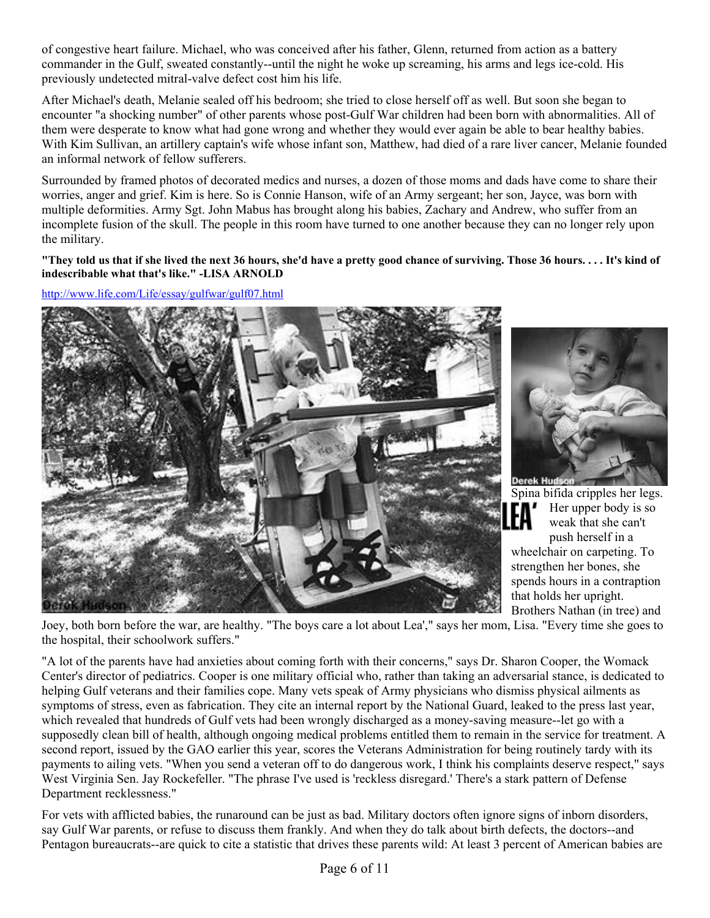of congestive heart failure. Michael, who was conceived after his father, Glenn, returned from action as a battery commander in the Gulf, sweated constantly--until the night he woke up screaming, his arms and legs ice-cold. His previously undetected mitral-valve defect cost him his life.

After Michael's death, Melanie sealed off his bedroom; she tried to close herself off as well. But soon she began to encounter "a shocking number" of other parents whose post-Gulf War children had been born with abnormalities. All of them were desperate to know what had gone wrong and whether they would ever again be able to bear healthy babies. With Kim Sullivan, an artillery captain's wife whose infant son, Matthew, had died of a rare liver cancer, Melanie founded an informal network of fellow sufferers.

Surrounded by framed photos of decorated medics and nurses, a dozen of those moms and dads have come to share their worries, anger and grief. Kim is here. So is Connie Hanson, wife of an Army sergeant; her son, Jayce, was born with multiple deformities. Army Sgt. John Mabus has brought along his babies, Zachary and Andrew, who suffer from an incomplete fusion of the skull. The people in this room have turned to one another because they can no longer rely upon the military.

**"They told us that if she lived the next 36 hours, she'd have a pretty good chance of surviving. Those 36 hours. . . . It's kind of indescribable what that's like." -LISA ARNOLD**

http://www.life.com/Life/essay/gulfwar/gulf07.html





Spina bifida cripples her legs. Her upper body is so weak that she can't push herself in a wheelchair on carpeting. To strengthen her bones, she spends hours in a contraption that holds her upright. Brothers Nathan (in tree) and

Joey, both born before the war, are healthy. "The boys care a lot about Lea'," says her mom, Lisa. "Every time she goes to the hospital, their schoolwork suffers."

"A lot of the parents have had anxieties about coming forth with their concerns," says Dr. Sharon Cooper, the Womack Center's director of pediatrics. Cooper is one military official who, rather than taking an adversarial stance, is dedicated to helping Gulf veterans and their families cope. Many vets speak of Army physicians who dismiss physical ailments as symptoms of stress, even as fabrication. They cite an internal report by the National Guard, leaked to the press last year, which revealed that hundreds of Gulf vets had been wrongly discharged as a money-saving measure--let go with a supposedly clean bill of health, although ongoing medical problems entitled them to remain in the service for treatment. A second report, issued by the GAO earlier this year, scores the Veterans Administration for being routinely tardy with its payments to ailing vets. "When you send a veteran off to do dangerous work, I think his complaints deserve respect," says West Virginia Sen. Jay Rockefeller. "The phrase I've used is 'reckless disregard.' There's a stark pattern of Defense Department recklessness."

For vets with afflicted babies, the runaround can be just as bad. Military doctors often ignore signs of inborn disorders, say Gulf War parents, or refuse to discuss them frankly. And when they do talk about birth defects, the doctors--and Pentagon bureaucrats--are quick to cite a statistic that drives these parents wild: At least 3 percent of American babies are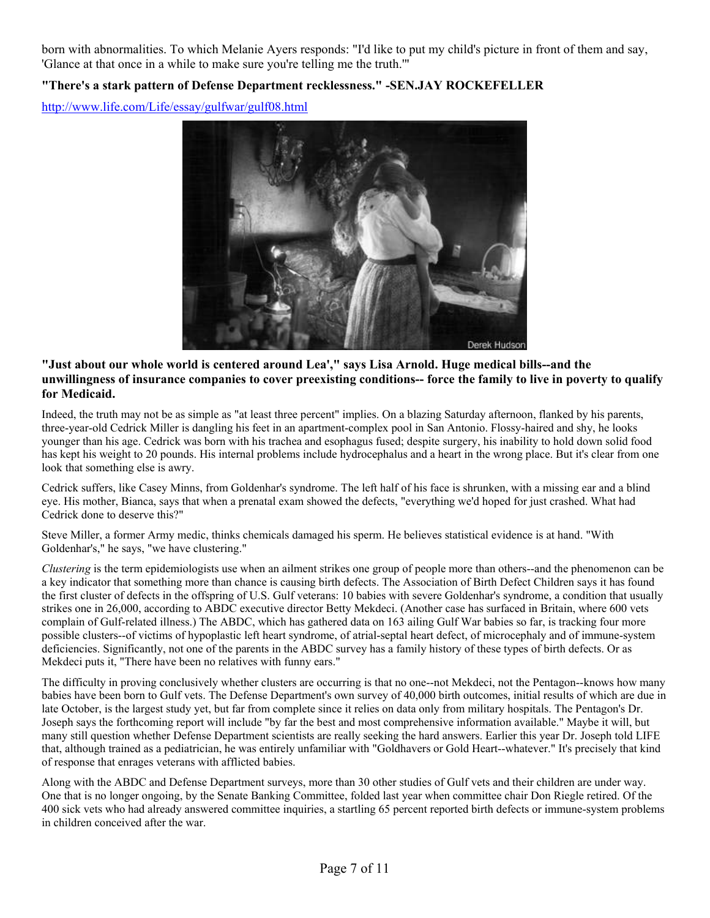born with abnormalities. To which Melanie Ayers responds: "I'd like to put my child's picture in front of them and say, 'Glance at that once in a while to make sure you're telling me the truth.'"

# **"There's a stark pattern of Defense Department recklessness." -SEN.JAY ROCKEFELLER**

http://www.life.com/Life/essay/gulfwar/gulf08.html



#### **"Just about our whole world is centered around Lea'," says Lisa Arnold. Huge medical bills--and the unwillingness of insurance companies to cover preexisting conditions-- force the family to live in poverty to qualify for Medicaid.**

Indeed, the truth may not be as simple as "at least three percent" implies. On a blazing Saturday afternoon, flanked by his parents, three-year-old Cedrick Miller is dangling his feet in an apartment-complex pool in San Antonio. Flossy-haired and shy, he looks younger than his age. Cedrick was born with his trachea and esophagus fused; despite surgery, his inability to hold down solid food has kept his weight to 20 pounds. His internal problems include hydrocephalus and a heart in the wrong place. But it's clear from one look that something else is awry.

Cedrick suffers, like Casey Minns, from Goldenhar's syndrome. The left half of his face is shrunken, with a missing ear and a blind eye. His mother, Bianca, says that when a prenatal exam showed the defects, "everything we'd hoped for just crashed. What had Cedrick done to deserve this?"

Steve Miller, a former Army medic, thinks chemicals damaged his sperm. He believes statistical evidence is at hand. "With Goldenhar's," he says, "we have clustering."

*Clustering* is the term epidemiologists use when an ailment strikes one group of people more than others--and the phenomenon can be a key indicator that something more than chance is causing birth defects. The Association of Birth Defect Children says it has found the first cluster of defects in the offspring of U.S. Gulf veterans: 10 babies with severe Goldenhar's syndrome, a condition that usually strikes one in 26,000, according to ABDC executive director Betty Mekdeci. (Another case has surfaced in Britain, where 600 vets complain of Gulf-related illness.) The ABDC, which has gathered data on 163 ailing Gulf War babies so far, is tracking four more possible clusters--of victims of hypoplastic left heart syndrome, of atrial-septal heart defect, of microcephaly and of immune-system deficiencies. Significantly, not one of the parents in the ABDC survey has a family history of these types of birth defects. Or as Mekdeci puts it, "There have been no relatives with funny ears."

The difficulty in proving conclusively whether clusters are occurring is that no one--not Mekdeci, not the Pentagon--knows how many babies have been born to Gulf vets. The Defense Department's own survey of 40,000 birth outcomes, initial results of which are due in late October, is the largest study yet, but far from complete since it relies on data only from military hospitals. The Pentagon's Dr. Joseph says the forthcoming report will include "by far the best and most comprehensive information available." Maybe it will, but many still question whether Defense Department scientists are really seeking the hard answers. Earlier this year Dr. Joseph told LIFE that, although trained as a pediatrician, he was entirely unfamiliar with "Goldhavers or Gold Heart--whatever." It's precisely that kind of response that enrages veterans with afflicted babies.

Along with the ABDC and Defense Department surveys, more than 30 other studies of Gulf vets and their children are under way. One that is no longer ongoing, by the Senate Banking Committee, folded last year when committee chair Don Riegle retired. Of the 400 sick vets who had already answered committee inquiries, a startling 65 percent reported birth defects or immune-system problems in children conceived after the war.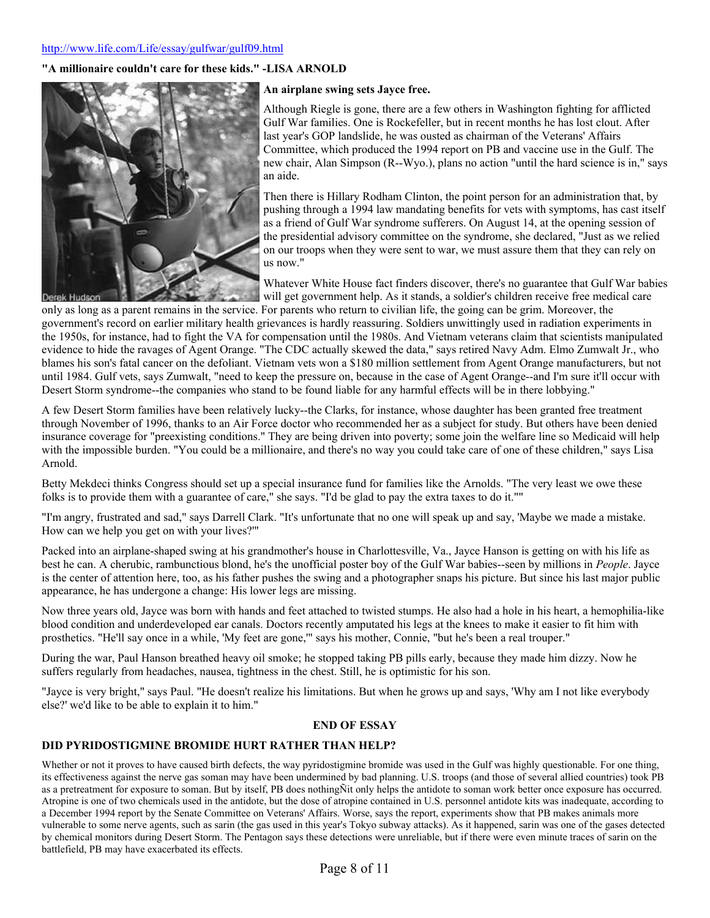#### http://www.life.com/Life/essay/gulfwar/gulf09.html

#### **"A millionaire couldn't care for these kids." -LISA ARNOLD**



#### **An airplane swing sets Jayce free.**

Although Riegle is gone, there are a few others in Washington fighting for afflicted Gulf War families. One is Rockefeller, but in recent months he has lost clout. After last year's GOP landslide, he was ousted as chairman of the Veterans' Affairs Committee, which produced the 1994 report on PB and vaccine use in the Gulf. The new chair, Alan Simpson (R--Wyo.), plans no action "until the hard science is in," says an aide.

Then there is Hillary Rodham Clinton, the point person for an administration that, by pushing through a 1994 law mandating benefits for vets with symptoms, has cast itself as a friend of Gulf War syndrome sufferers. On August 14, at the opening session of the presidential advisory committee on the syndrome, she declared, "Just as we relied on our troops when they were sent to war, we must assure them that they can rely on us now."

Whatever White House fact finders discover, there's no guarantee that Gulf War babies will get government help. As it stands, a soldier's children receive free medical care

only as long as a parent remains in the service. For parents who return to civilian life, the going can be grim. Moreover, the government's record on earlier military health grievances is hardly reassuring. Soldiers unwittingly used in radiation experiments in the 1950s, for instance, had to fight the VA for compensation until the 1980s. And Vietnam veterans claim that scientists manipulated evidence to hide the ravages of Agent Orange. "The CDC actually skewed the data," says retired Navy Adm. Elmo Zumwalt Jr., who blames his son's fatal cancer on the defoliant. Vietnam vets won a \$180 million settlement from Agent Orange manufacturers, but not until 1984. Gulf vets, says Zumwalt, "need to keep the pressure on, because in the case of Agent Orange--and I'm sure it'll occur with Desert Storm syndrome--the companies who stand to be found liable for any harmful effects will be in there lobbying."

A few Desert Storm families have been relatively lucky--the Clarks, for instance, whose daughter has been granted free treatment through November of 1996, thanks to an Air Force doctor who recommended her as a subject for study. But others have been denied insurance coverage for "preexisting conditions." They are being driven into poverty; some join the welfare line so Medicaid will help with the impossible burden. "You could be a millionaire, and there's no way you could take care of one of these children," says Lisa Arnold.

Betty Mekdeci thinks Congress should set up a special insurance fund for families like the Arnolds. "The very least we owe these folks is to provide them with a guarantee of care," she says. "I'd be glad to pay the extra taxes to do it.""

"I'm angry, frustrated and sad," says Darrell Clark. "It's unfortunate that no one will speak up and say, 'Maybe we made a mistake. How can we help you get on with your lives?'"

Packed into an airplane-shaped swing at his grandmother's house in Charlottesville, Va., Jayce Hanson is getting on with his life as best he can. A cherubic, rambunctious blond, he's the unofficial poster boy of the Gulf War babies--seen by millions in *People*. Jayce is the center of attention here, too, as his father pushes the swing and a photographer snaps his picture. But since his last major public appearance, he has undergone a change: His lower legs are missing.

Now three years old, Jayce was born with hands and feet attached to twisted stumps. He also had a hole in his heart, a hemophilia-like blood condition and underdeveloped ear canals. Doctors recently amputated his legs at the knees to make it easier to fit him with prosthetics. "He'll say once in a while, 'My feet are gone,'" says his mother, Connie, "but he's been a real trouper."

During the war, Paul Hanson breathed heavy oil smoke; he stopped taking PB pills early, because they made him dizzy. Now he suffers regularly from headaches, nausea, tightness in the chest. Still, he is optimistic for his son.

"Jayce is very bright," says Paul. "He doesn't realize his limitations. But when he grows up and says, 'Why am I not like everybody else?' we'd like to be able to explain it to him."

#### **END OF ESSAY**

#### **DID PYRIDOSTIGMINE BROMIDE HURT RATHER THAN HELP?**

Whether or not it proves to have caused birth defects, the way pyridostigmine bromide was used in the Gulf was highly questionable. For one thing, its effectiveness against the nerve gas soman may have been undermined by bad planning. U.S. troops (and those of several allied countries) took PB as a pretreatment for exposure to soman. But by itself, PB does nothingÑit only helps the antidote to soman work better once exposure has occurred. Atropine is one of two chemicals used in the antidote, but the dose of atropine contained in U.S. personnel antidote kits was inadequate, according to a December 1994 report by the Senate Committee on Veterans' Affairs. Worse, says the report, experiments show that PB makes animals more vulnerable to some nerve agents, such as sarin (the gas used in this year's Tokyo subway attacks). As it happened, sarin was one of the gases detected by chemical monitors during Desert Storm. The Pentagon says these detections were unreliable, but if there were even minute traces of sarin on the battlefield, PB may have exacerbated its effects.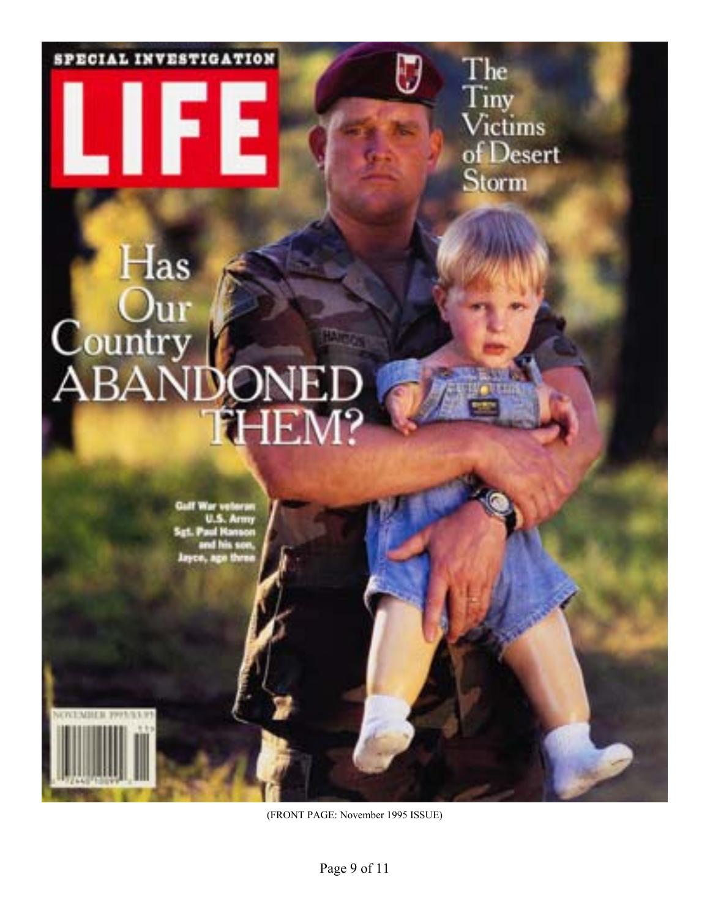SPECIAL INVESTIGATION

The<br>Tiny<br>Victims<br>of Desert Storm

# $_{\rm 1}$ ונו Country<br>ABAN 1-IF.

15

(FRONT PAGE: November 1995 ISSUE)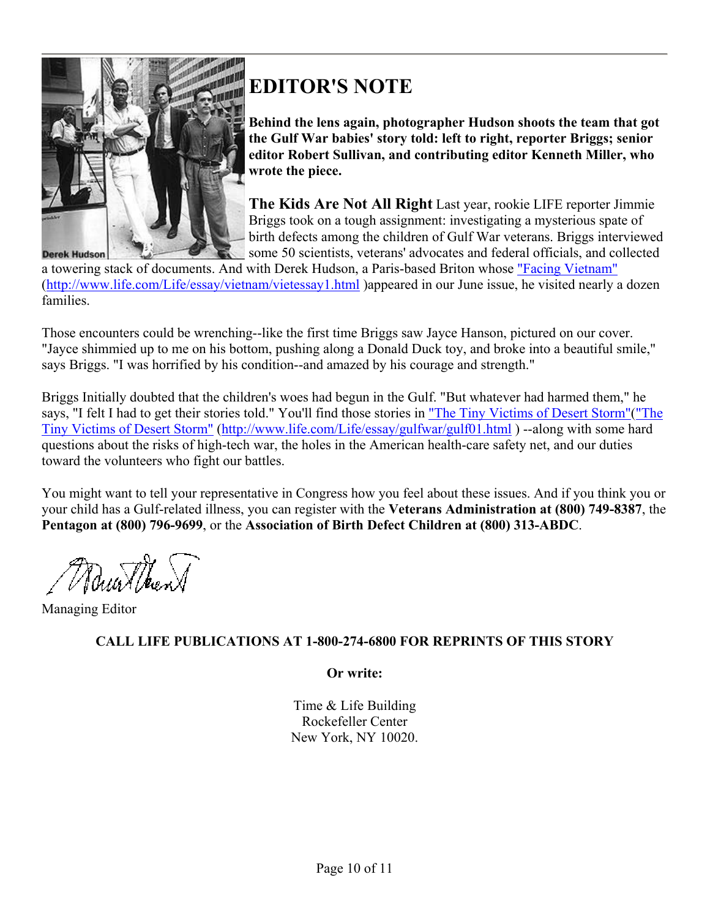

# **EDITOR'S NOTE**

**Behind the lens again, photographer Hudson shoots the team that got the Gulf War babies' story told: left to right, reporter Briggs; senior editor Robert Sullivan, and contributing editor Kenneth Miller, who wrote the piece.**

**The Kids Are Not All Right** Last year, rookie LIFE reporter Jimmie Briggs took on a tough assignment: investigating a mysterious spate of birth defects among the children of Gulf War veterans. Briggs interviewed some 50 scientists, veterans' advocates and federal officials, and collected

a towering stack of documents. And with Derek Hudson, a Paris-based Briton whose "Facing Vietnam" (http://www.life.com/Life/essay/vietnam/vietessay1.html )appeared in our June issue, he visited nearly a dozen families.

Those encounters could be wrenching--like the first time Briggs saw Jayce Hanson, pictured on our cover. "Jayce shimmied up to me on his bottom, pushing along a Donald Duck toy, and broke into a beautiful smile," says Briggs. "I was horrified by his condition--and amazed by his courage and strength."

Briggs Initially doubted that the children's woes had begun in the Gulf. "But whatever had harmed them," he says, "I felt I had to get their stories told." You'll find those stories in "The Tiny Victims of Desert Storm"("The Tiny Victims of Desert Storm" (http://www.life.com/Life/essay/gulfwar/gulf01.html ) --along with some hard questions about the risks of high-tech war, the holes in the American health-care safety net, and our duties toward the volunteers who fight our battles.

You might want to tell your representative in Congress how you feel about these issues. And if you think you or your child has a Gulf-related illness, you can register with the **Veterans Administration at (800) 749-8387**, the **Pentagon at (800) 796-9699**, or the **Association of Birth Defect Children at (800) 313-ABDC**.

Munther

Managing Editor

# **CALL LIFE PUBLICATIONS AT 1-800-274-6800 FOR REPRINTS OF THIS STORY**

**Or write:** 

Time & Life Building Rockefeller Center New York, NY 10020.